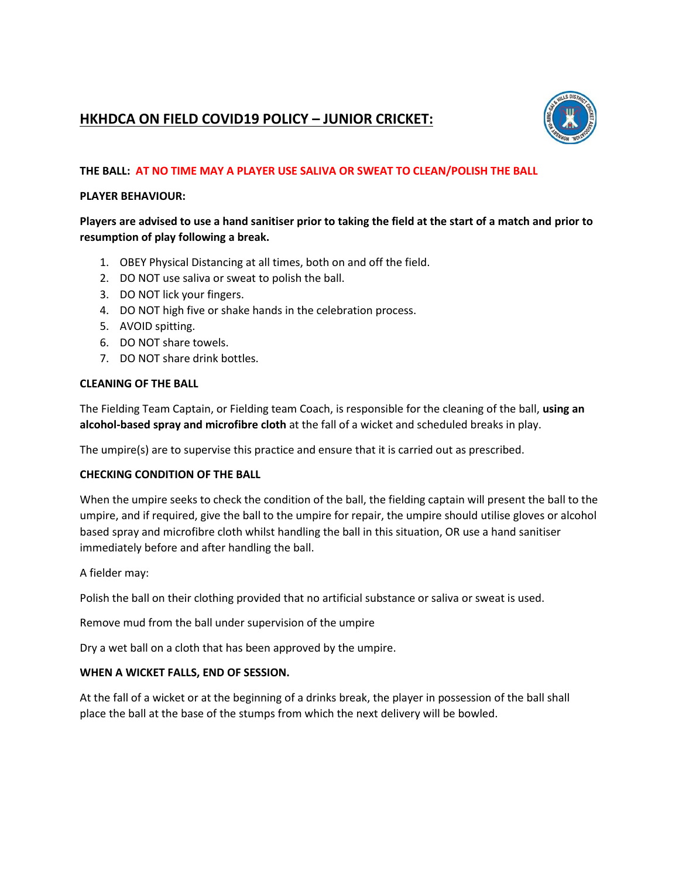# **HKHDCA ON FIELD COVID19 POLICY – JUNIOR CRICKET:**



## **THE BALL: AT NO TIME MAY A PLAYER USE SALIVA OR SWEAT TO CLEAN/POLISH THE BALL**

### **PLAYER BEHAVIOUR:**

# **Players are advised to use a hand sanitiser prior to taking the field at the start of a match and prior to resumption of play following a break.**

- 1. OBEY Physical Distancing at all times, both on and off the field.
- 2. DO NOT use saliva or sweat to polish the ball.
- 3. DO NOT lick your fingers.
- 4. DO NOT high five or shake hands in the celebration process.
- 5. AVOID spitting.
- 6. DO NOT share towels.
- 7. DO NOT share drink bottles.

#### **CLEANING OF THE BALL**

The Fielding Team Captain, or Fielding team Coach, is responsible for the cleaning of the ball, **using an alcohol-based spray and microfibre cloth** at the fall of a wicket and scheduled breaks in play.

The umpire(s) are to supervise this practice and ensure that it is carried out as prescribed.

### **CHECKING CONDITION OF THE BALL**

When the umpire seeks to check the condition of the ball, the fielding captain will present the ball to the umpire, and if required, give the ball to the umpire for repair, the umpire should utilise gloves or alcohol based spray and microfibre cloth whilst handling the ball in this situation, OR use a hand sanitiser immediately before and after handling the ball.

A fielder may:

Polish the ball on their clothing provided that no artificial substance or saliva or sweat is used.

Remove mud from the ball under supervision of the umpire

Dry a wet ball on a cloth that has been approved by the umpire.

#### **WHEN A WICKET FALLS, END OF SESSION.**

At the fall of a wicket or at the beginning of a drinks break, the player in possession of the ball shall place the ball at the base of the stumps from which the next delivery will be bowled.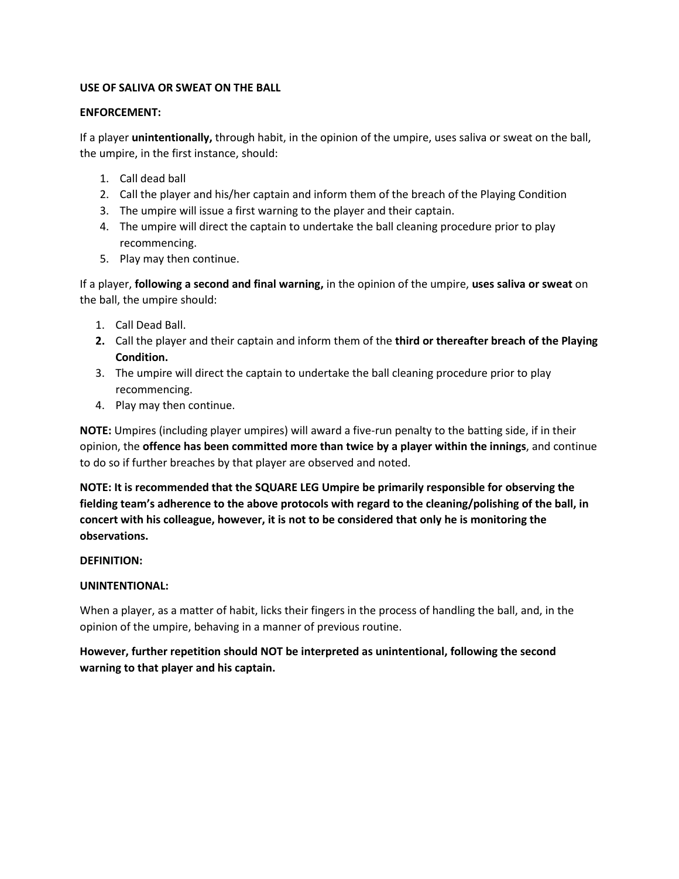### **USE OF SALIVA OR SWEAT ON THE BALL**

### **ENFORCEMENT:**

If a player **unintentionally,** through habit, in the opinion of the umpire, uses saliva or sweat on the ball, the umpire, in the first instance, should:

- 1. Call dead ball
- 2. Call the player and his/her captain and inform them of the breach of the Playing Condition
- 3. The umpire will issue a first warning to the player and their captain.
- 4. The umpire will direct the captain to undertake the ball cleaning procedure prior to play recommencing.
- 5. Play may then continue.

If a player, **following a second and final warning,** in the opinion of the umpire, **uses saliva or sweat** on the ball, the umpire should:

- 1. Call Dead Ball.
- **2.** Call the player and their captain and inform them of the **third or thereafter breach of the Playing Condition.**
- 3. The umpire will direct the captain to undertake the ball cleaning procedure prior to play recommencing.
- 4. Play may then continue.

**NOTE:** Umpires (including player umpires) will award a five-run penalty to the batting side, if in their opinion, the **offence has been committed more than twice by a player within the innings**, and continue to do so if further breaches by that player are observed and noted.

**NOTE: It is recommended that the SQUARE LEG Umpire be primarily responsible for observing the fielding team's adherence to the above protocols with regard to the cleaning/polishing of the ball, in concert with his colleague, however, it is not to be considered that only he is monitoring the observations.**

# **DEFINITION:**

# **UNINTENTIONAL:**

When a player, as a matter of habit, licks their fingers in the process of handling the ball, and, in the opinion of the umpire, behaving in a manner of previous routine.

**However, further repetition should NOT be interpreted as unintentional, following the second warning to that player and his captain.**